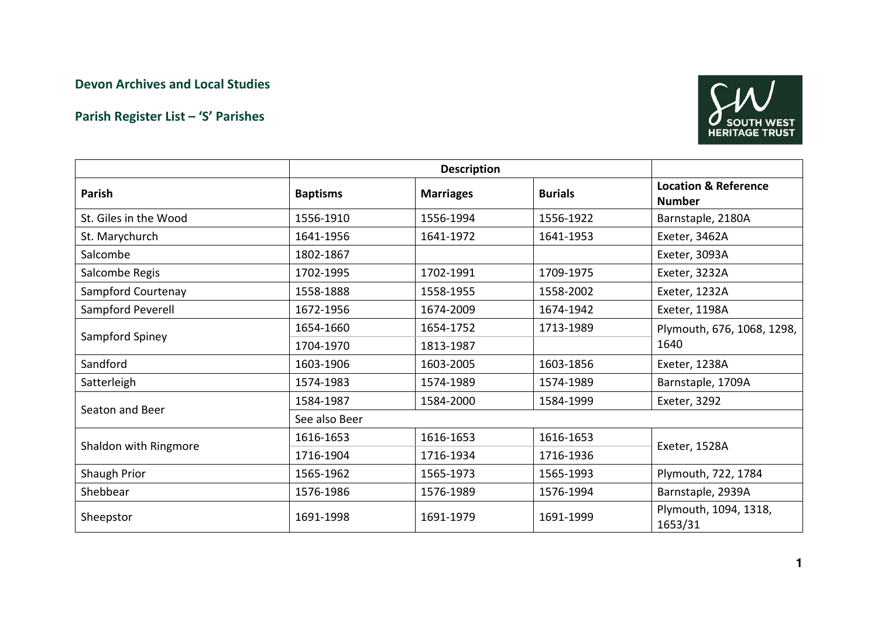## Devon Archives and Local Studies

## Parish Register List – 'S' Parishes



|                       | <b>Description</b> |                  |                |                                                  |
|-----------------------|--------------------|------------------|----------------|--------------------------------------------------|
| Parish                | <b>Baptisms</b>    | <b>Marriages</b> | <b>Burials</b> | <b>Location &amp; Reference</b><br><b>Number</b> |
| St. Giles in the Wood | 1556-1910          | 1556-1994        | 1556-1922      | Barnstaple, 2180A                                |
| St. Marychurch        | 1641-1956          | 1641-1972        | 1641-1953      | Exeter, 3462A                                    |
| Salcombe              | 1802-1867          |                  |                | Exeter, 3093A                                    |
| Salcombe Regis        | 1702-1995          | 1702-1991        | 1709-1975      | Exeter, 3232A                                    |
| Sampford Courtenay    | 1558-1888          | 1558-1955        | 1558-2002      | Exeter, 1232A                                    |
| Sampford Peverell     | 1672-1956          | 1674-2009        | 1674-1942      | Exeter, 1198A                                    |
| Sampford Spiney       | 1654-1660          | 1654-1752        | 1713-1989      | Plymouth, 676, 1068, 1298,<br>1640               |
|                       | 1704-1970          | 1813-1987        |                |                                                  |
| Sandford              | 1603-1906          | 1603-2005        | 1603-1856      | Exeter, 1238A                                    |
| Satterleigh           | 1574-1983          | 1574-1989        | 1574-1989      | Barnstaple, 1709A                                |
| Seaton and Beer       | 1584-1987          | 1584-2000        | 1584-1999      | Exeter, 3292                                     |
|                       | See also Beer      |                  |                |                                                  |
| Shaldon with Ringmore | 1616-1653          | 1616-1653        | 1616-1653      | Exeter, 1528A                                    |
|                       | 1716-1904          | 1716-1934        | 1716-1936      |                                                  |
| Shaugh Prior          | 1565-1962          | 1565-1973        | 1565-1993      | Plymouth, 722, 1784                              |
| Shebbear              | 1576-1986          | 1576-1989        | 1576-1994      | Barnstaple, 2939A                                |
| Sheepstor             | 1691-1998          | 1691-1979        | 1691-1999      | Plymouth, 1094, 1318,<br>1653/31                 |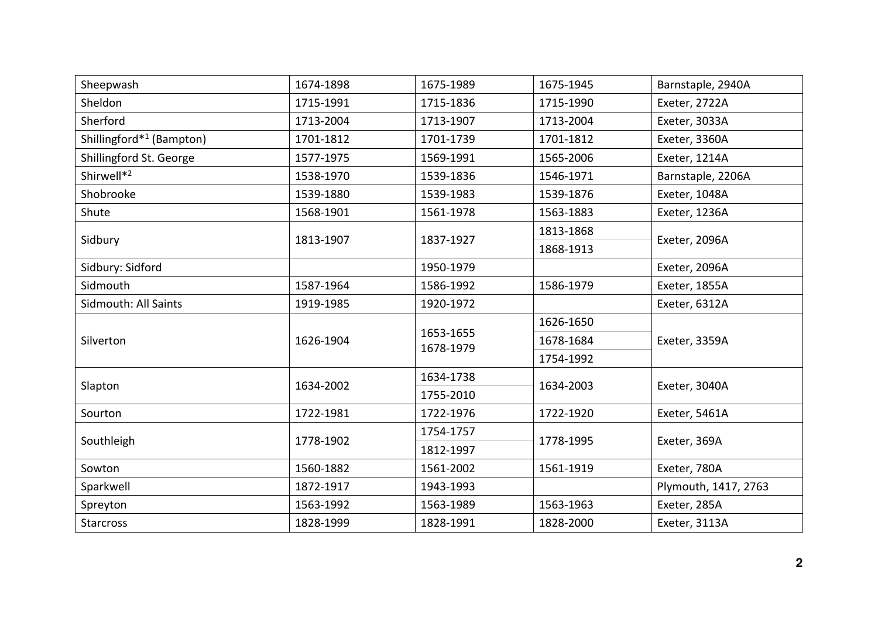| Sheepwash                            | 1674-1898 | 1675-1989              | 1675-1945                  | Barnstaple, 2940A    |
|--------------------------------------|-----------|------------------------|----------------------------|----------------------|
| Sheldon                              | 1715-1991 | 1715-1836              | 1715-1990                  | Exeter, 2722A        |
| Sherford                             | 1713-2004 | 1713-1907              | 1713-2004                  | Exeter, 3033A        |
| Shillingford* <sup>1</sup> (Bampton) | 1701-1812 | 1701-1739              | 1701-1812                  | Exeter, 3360A        |
| Shillingford St. George              | 1577-1975 | 1569-1991              | 1565-2006                  | Exeter, 1214A        |
| Shirwell* <sup>2</sup>               | 1538-1970 | 1539-1836              | 1546-1971                  | Barnstaple, 2206A    |
| Shobrooke                            | 1539-1880 | 1539-1983              | 1539-1876                  | Exeter, 1048A        |
| Shute                                | 1568-1901 | 1561-1978              | 1563-1883                  | Exeter, 1236A        |
| Sidbury                              | 1813-1907 | 1837-1927              | 1813-1868                  | Exeter, 2096A        |
|                                      |           |                        | 1868-1913                  |                      |
| Sidbury: Sidford                     |           | 1950-1979              |                            | Exeter, 2096A        |
| Sidmouth                             | 1587-1964 | 1586-1992              | 1586-1979                  | Exeter, 1855A        |
| Sidmouth: All Saints                 | 1919-1985 | 1920-1972              |                            | Exeter, 6312A        |
| Silverton                            | 1626-1904 | 1653-1655<br>1678-1979 | 1626-1650                  | Exeter, 3359A        |
|                                      |           |                        | 1678-1684                  |                      |
|                                      |           |                        | 1754-1992                  |                      |
| Slapton                              | 1634-2002 | 1634-1738              | 1634-2003<br>Exeter, 3040A |                      |
|                                      |           | 1755-2010              |                            |                      |
| Sourton                              | 1722-1981 | 1722-1976              | 1722-1920                  | Exeter, 5461A        |
| Southleigh                           | 1778-1902 | 1754-1757              | 1778-1995                  | Exeter, 369A         |
|                                      |           | 1812-1997              |                            |                      |
| Sowton                               | 1560-1882 | 1561-2002              | 1561-1919                  | Exeter, 780A         |
| Sparkwell                            | 1872-1917 | 1943-1993              |                            | Plymouth, 1417, 2763 |
| Spreyton                             | 1563-1992 | 1563-1989              | 1563-1963                  | Exeter, 285A         |
| <b>Starcross</b>                     | 1828-1999 | 1828-1991              | 1828-2000                  | Exeter, 3113A        |